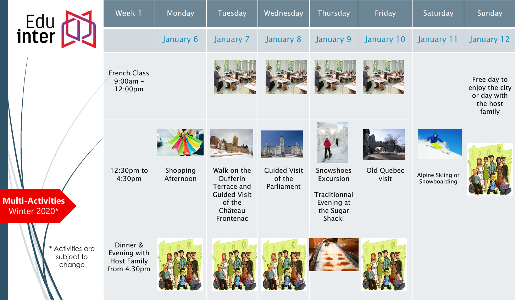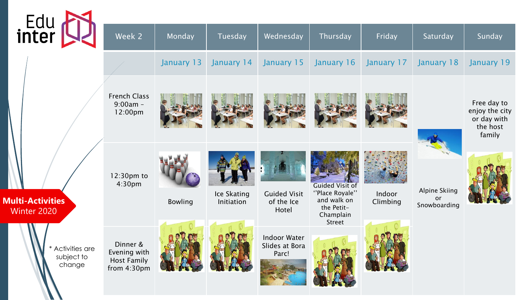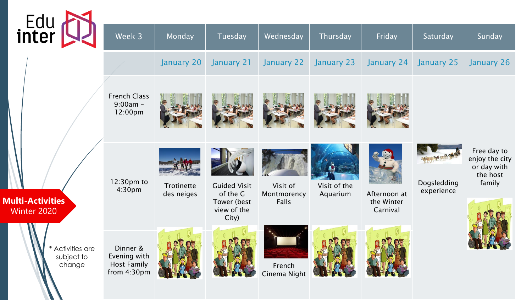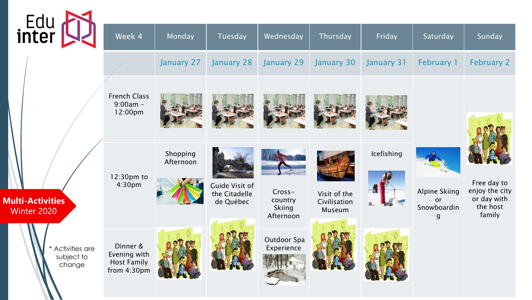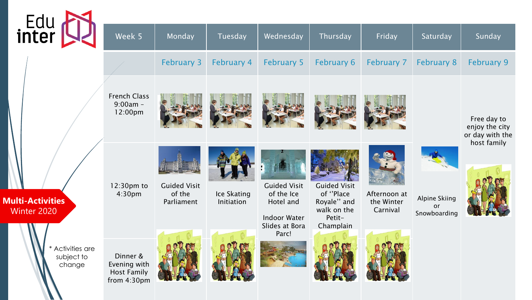